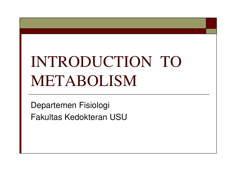# INTRODUCTION TO METABOLISM

Departemen Fisiologi Fakultas Kedokteran USU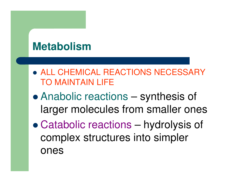# **Metabolism**

- ALL CHEMICAL REACTIONS NECESSARY TO MAINTAIN LIFE
- $\bullet$  Anabolic reactions – synthesis of larger molecules from smaller ones
- $\bullet$  Catabolic reactions – hydrolysis of complex structures into simpler ones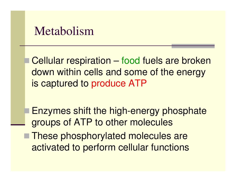## Metabolism

-

 Cellular respiration – food fuels are broken down within cells and some of the energy is captured to produce ATP

 Enzymes shift the high-energy phosphate groups of ATP to other molecules

■ These phosphorylated molecules are activated to perform cellular functions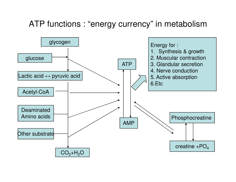#### ATP functions : "energy currency" in metabolism

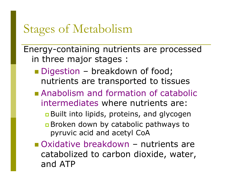# Stages of Metabolism

Energy-containing nutrients are processed in three major stages :

- Digestion breakdown of food;<br>Dutrients are transported to tiss nutrients are transported to tissues
- **Anabolism and formation of catabolic** intermediates where nutrients are: **<u>n</u> Built into lipids, proteins, and glycogen** Broken down by catabolic pathways to pyruvic acid and acetyl CoA
- Oxidative breakdown nutrients are catabolized to carbon dioxide, water, and ATP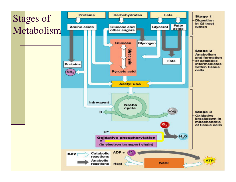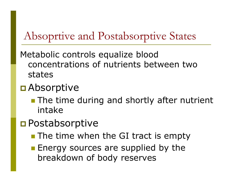# Absoprtive and Postabsorptive States

Metabolic controls equalize blood concentrations of nutrients between two states

# **□** Absorptive

**The time during and shortly after nutrient** intake

# **O** Postabsorptive

- **The time when the GI tract is empty**
- **Energy sources are supplied by the** breakdown of body reserves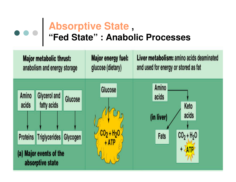#### **Absorptive State , "Fed State" : Anabolic Processes**

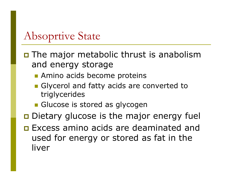## Absoprtive State

- **O** The major metabolic thrust is anabolism and energy storage
	- **E** Amino acids become proteins
	- **Glycerol and fatty acids are converted to** triglycerides
	- **E** Glucose is stored as glycogen
- $\Box$  Dietary glucose is the major energy fuel
- **Excess amino acids are deaminated and** used for energy or stored as fat in the liver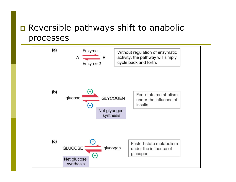#### $\Box$  Reversible pathways shift to anabolic processes

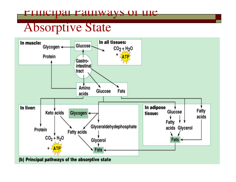#### pal Pathways Of the

## Absorptive State

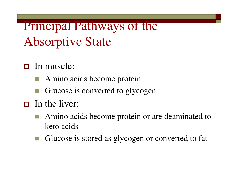Principal Pathways of the Absorptive State

- □ In muscle:
	- Amino acids become protein
	- Glucose is converted to glycogen
- $\Box$  In the liver:
	- Amino acids become protein or are deaminated to keto acids
	- Glucose is stored as glycogen or converted to fat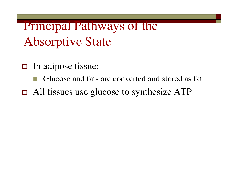Principal Pathways of the Absorptive State

- □ In adipose tissue:
	- Glucose and fats are converted and stored as fat
- $\Box$  All tissues use glucose to synthesize ATP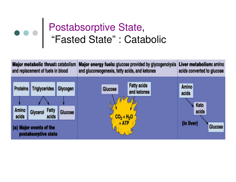# Postabsorptive State, "Fasted State" : Catabolic

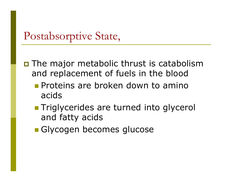### Postabsorptive State,

**O** The major metabolic thrust is catabolism and replacement of fuels in the blood

- **Proteins are broken down to amino** acids
- **Triglycerides are turned into glycerol** and fatty acids
- Glycogen becomes glucose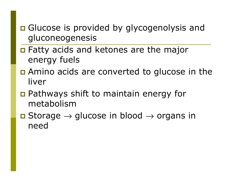#### **Q** Glucose is provided by glycogenolysis and gluconeogenesis

- $\Box$  Fatty acids and ketones are the major energy fuels
- **Q** Amino acids are converted to glucose in the liver
- **Pathways shift to maintain energy for** metabolism
- **□** Storage  $\rightarrow$  glucose in blood  $\rightarrow$  organs in need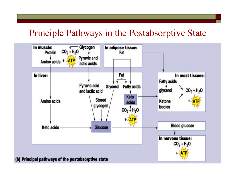#### Principle Pathways in the Postabsorptive State

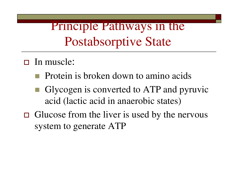Principle Pathways in the Postabsorptive State

- □ In muscle:
	- Protein is broken down to amino acids
	- **Glycogen is converted to ATP and pyruvic** acid (lactic acid in anaerobic states)
- Glucose from the liver is used by the nervous system to generate ATP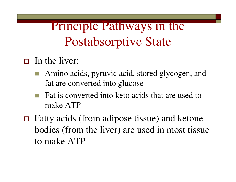# Principle Pathways in the Postabsorptive State

- $\Box$  In the liver:
	- Amino acids, pyruvic acid, stored glycogen, and fat are converted into glucose
	- - Fat is converted into keto acids that are used to make ATP
- $\Box$  Fatty acids (from adipose tissue) and ketone bodies (from the liver) are used in most tissue to make ATP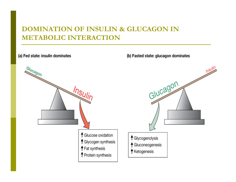#### DOMINATION OF INSULIN & GLUCAGON IN METABOLIC INTERACTION

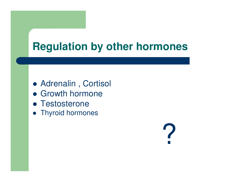# **Regulation by other hormones**

- Adrenalin , Cortisol
- Growth hormone
- Testosterone
- **•** Thyroid hormones